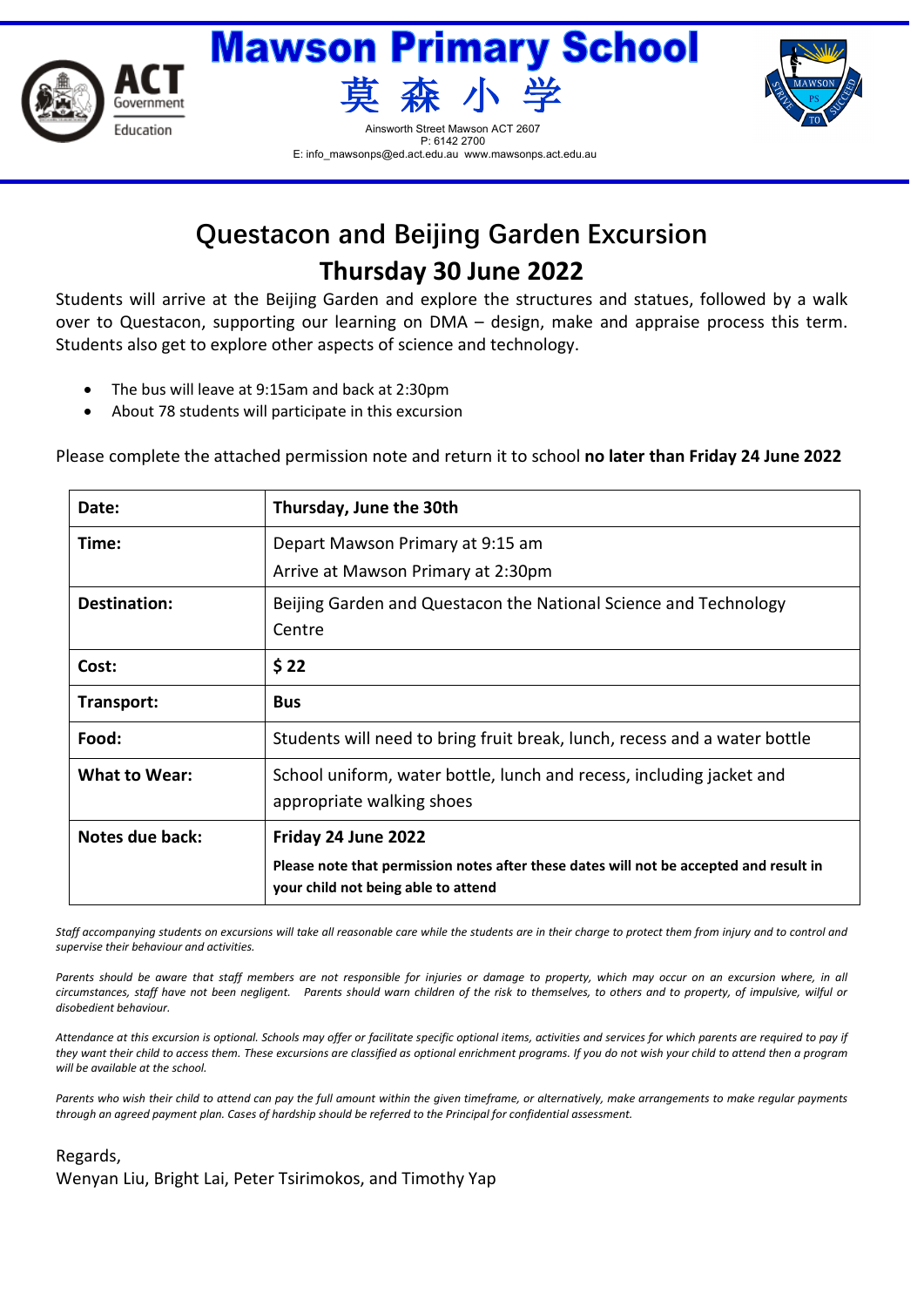



E: info\_mawsonps@ed.act.edu.au www.mawsonps.act.edu.au



## **Questacon and Beijing Garden Excursion Thursday 30 June 2022**

Students will arrive at the Beijing Garden and explore the structures and statues, followed by a walk over to Questacon, supporting our learning on DMA – design, make and appraise process this term. Students also get to explore other aspects of science and technology.

- The bus will leave at 9:15am and back at 2:30pm
- About 78 students will participate in this excursion

Please complete the attached permission note and return it to school **no later than Friday 24 June 2022**

| Date:                | Thursday, June the 30th                                                                                                       |
|----------------------|-------------------------------------------------------------------------------------------------------------------------------|
| Time:                | Depart Mawson Primary at 9:15 am                                                                                              |
|                      | Arrive at Mawson Primary at 2:30pm                                                                                            |
| Destination:         | Beijing Garden and Questacon the National Science and Technology<br>Centre                                                    |
| Cost:                | \$22                                                                                                                          |
| Transport:           | <b>Bus</b>                                                                                                                    |
| Food:                | Students will need to bring fruit break, lunch, recess and a water bottle                                                     |
| <b>What to Wear:</b> | School uniform, water bottle, lunch and recess, including jacket and<br>appropriate walking shoes                             |
| Notes due back:      | Friday 24 June 2022                                                                                                           |
|                      | Please note that permission notes after these dates will not be accepted and result in<br>your child not being able to attend |

Staff accompanying students on excursions will take all reasonable care while the students are in their charge to protect them from injury and to control and *supervise their behaviour and activities.*

Parents should be aware that staff members are not responsible for injuries or damage to property, which may occur on an excursion where, in all *circumstances, staff have not been negligent. Parents should warn children of the risk to themselves, to others and to property, of impulsive, wilful or disobedient behaviour.*

*Attendance at this excursion is optional. Schools may offer or facilitate specific optional items, activities and services for which parents are required to pay if they want their child to access them. These excursions are classified as optional enrichment programs. If you do not wish your child to attend then a program will be available at the school.*

Parents who wish their child to attend can pay the full amount within the given timeframe, or alternatively, make arrangements to make regular payments *through an agreed payment plan. Cases of hardship should be referred to the Principal for confidential assessment.* 

## Regards, Wenyan Liu, Bright Lai, Peter Tsirimokos, and Timothy Yap